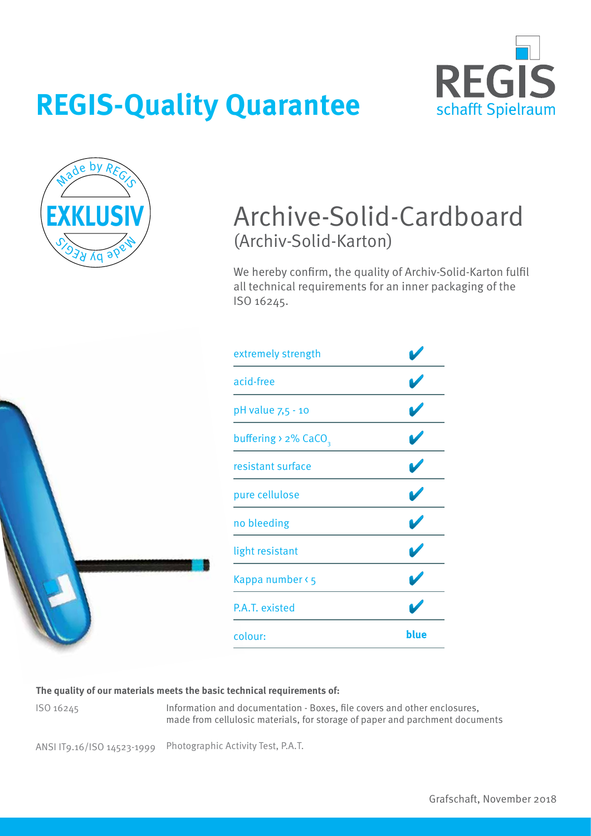



### Archive-Solid-Cardboard (Archiv-Solid-Karton)

We hereby confirm, the quality of Archiv-Solid-Karton fulfil all technical requirements for an inner packaging of the ISO 16245.



| blue |
|------|
|      |

#### **The quality of our materials meets the basic technical requirements of:**

ISO 16245

Information and documentation - Boxes, file covers and other enclosures, made from cellulosic materials, for storage of paper and parchment documents

ANSI IT9.16/ISO 14523-1999 Photographic Activity Test, P.A.T.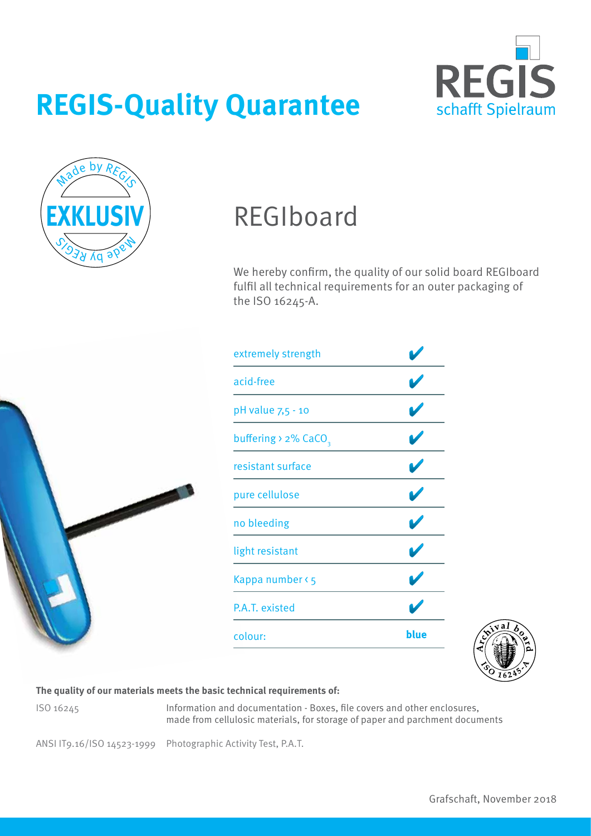



## REGIboard

We hereby confirm, the quality of our solid board REGIboard fulfil all technical requirements for an outer packaging of the ISO 16245-A.



| extremely strength                  |      |
|-------------------------------------|------|
| acid-free                           |      |
| pH value 7,5 - 10                   |      |
| buffering > $2\%$ CaCO <sub>3</sub> |      |
| resistant surface                   |      |
| pure cellulose                      |      |
| no bleeding                         |      |
| light resistant                     |      |
| Kappa number < 5                    |      |
| P.A.T. existed                      |      |
| colour:                             | blue |



#### **The quality of our materials meets the basic technical requirements of:**

ISO 16245

Information and documentation - Boxes, file covers and other enclosures, made from cellulosic materials, for storage of paper and parchment documents

ANSI IT9.16/ISO 14523-1999 Photographic Activity Test, P.A.T.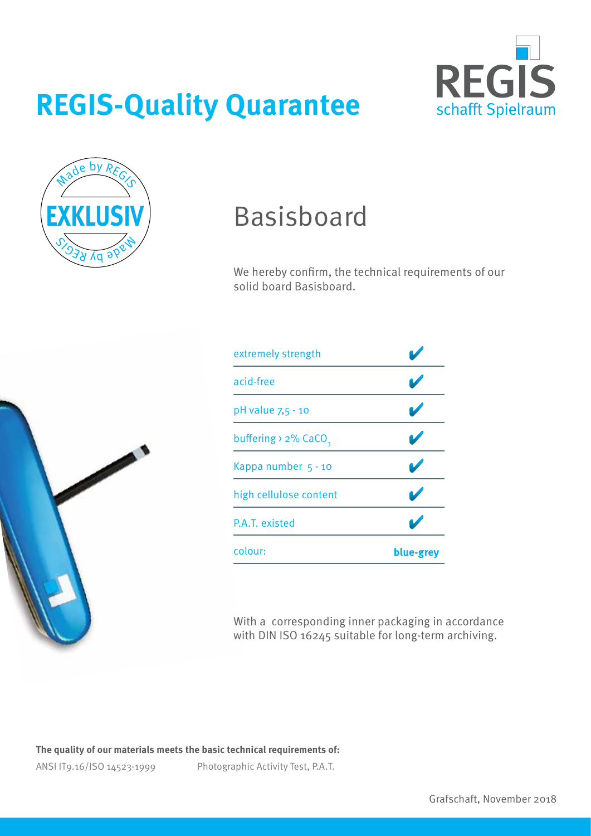



## Basisboard

We hereby confirm, the technical requirements of our solid board Basisboard.



| extremely strength                   |           |
|--------------------------------------|-----------|
| acid-free                            |           |
| pH value 7,5 - 10                    |           |
| buffering $\ge$ 2% CaCO <sub>2</sub> |           |
| Kappa number 5 - 10                  |           |
| high cellulose content               |           |
| P.A.T. existed                       |           |
| colour:                              | blue-grey |

With a corresponding inner packaging in accordance with DIN ISO 16245 suitable for long-term archiving.

**The quality of our materials meets the basic technical requirements of:**

ANSI IT9.16/ISO 14523-1999

Photographic Activity Test, P.A.T.